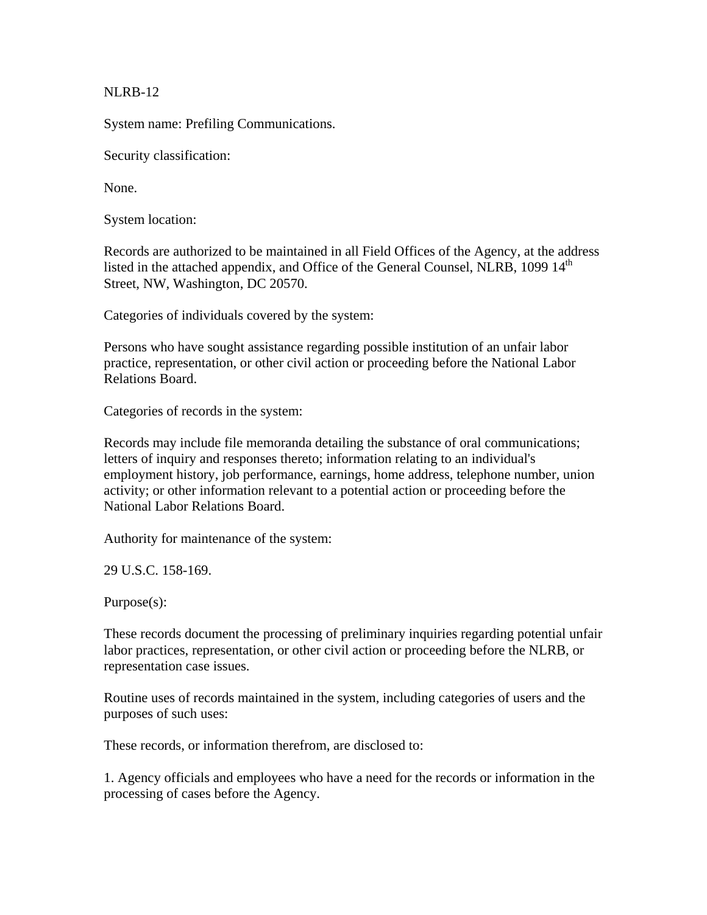$NI$  RB-12

System name: Prefiling Communications.

Security classification:

None.

System location:

Records are authorized to be maintained in all Field Offices of the Agency, at the address listed in the attached appendix, and Office of the General Counsel, NLRB, 1099  $14<sup>th</sup>$ Street, NW, Washington, DC 20570.

Categories of individuals covered by the system:

Persons who have sought assistance regarding possible institution of an unfair labor practice, representation, or other civil action or proceeding before the National Labor Relations Board.

Categories of records in the system:

Records may include file memoranda detailing the substance of oral communications; letters of inquiry and responses thereto; information relating to an individual's employment history, job performance, earnings, home address, telephone number, union activity; or other information relevant to a potential action or proceeding before the National Labor Relations Board.

Authority for maintenance of the system:

29 U.S.C. 158-169.

Purpose(s):

These records document the processing of preliminary inquiries regarding potential unfair labor practices, representation, or other civil action or proceeding before the NLRB, or representation case issues.

Routine uses of records maintained in the system, including categories of users and the purposes of such uses:

These records, or information therefrom, are disclosed to:

1. Agency officials and employees who have a need for the records or information in the processing of cases before the Agency.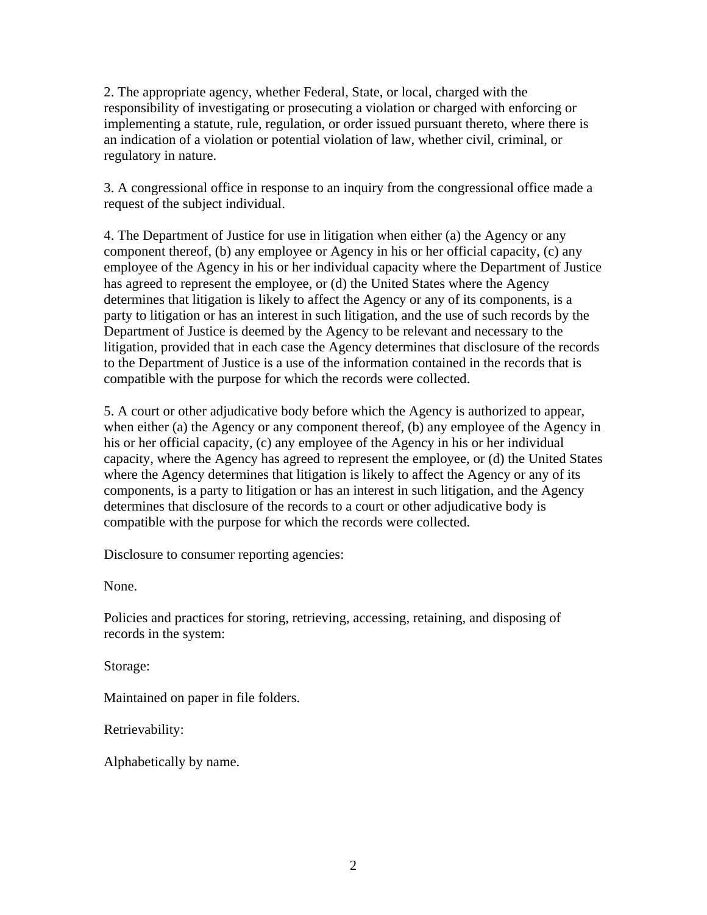2. The appropriate agency, whether Federal, State, or local, charged with the responsibility of investigating or prosecuting a violation or charged with enforcing or implementing a statute, rule, regulation, or order issued pursuant thereto, where there is an indication of a violation or potential violation of law, whether civil, criminal, or regulatory in nature.

3. A congressional office in response to an inquiry from the congressional office made a request of the subject individual.

4. The Department of Justice for use in litigation when either (a) the Agency or any component thereof, (b) any employee or Agency in his or her official capacity, (c) any employee of the Agency in his or her individual capacity where the Department of Justice has agreed to represent the employee, or (d) the United States where the Agency determines that litigation is likely to affect the Agency or any of its components, is a party to litigation or has an interest in such litigation, and the use of such records by the Department of Justice is deemed by the Agency to be relevant and necessary to the litigation, provided that in each case the Agency determines that disclosure of the records to the Department of Justice is a use of the information contained in the records that is compatible with the purpose for which the records were collected.

5. A court or other adjudicative body before which the Agency is authorized to appear, when either (a) the Agency or any component thereof, (b) any employee of the Agency in his or her official capacity, (c) any employee of the Agency in his or her individual capacity, where the Agency has agreed to represent the employee, or (d) the United States where the Agency determines that litigation is likely to affect the Agency or any of its components, is a party to litigation or has an interest in such litigation, and the Agency determines that disclosure of the records to a court or other adjudicative body is compatible with the purpose for which the records were collected.

Disclosure to consumer reporting agencies:

None.

Policies and practices for storing, retrieving, accessing, retaining, and disposing of records in the system:

Storage:

Maintained on paper in file folders.

Retrievability:

Alphabetically by name.